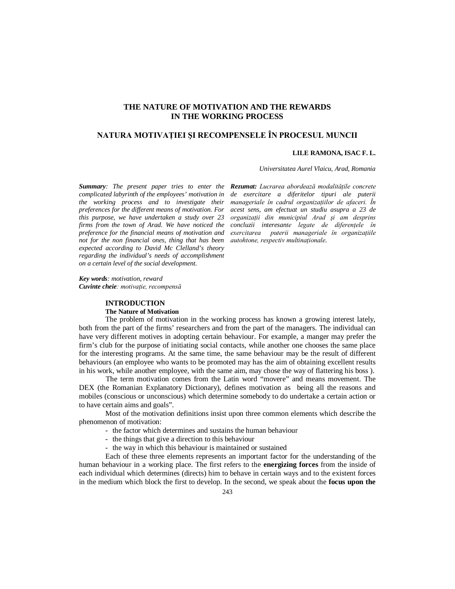# **THE NATURE OF MOTIVATION AND THE REWARDS IN THE WORKING PROCESS**

# **NATURA MOTIVAŢIEI ŞI RECOMPENSELE ÎN PROCESUL MUNCII**

## **LILE RAMONA, ISAC F. L.**

*Universitatea Aurel Vlaicu, Arad, Romania*

*complicated labyrinth of the employees' motivation in the working process and to investigate their preferences for the different means of motivation. For this purpose, we have undertaken a study over 23 firms from the town of Arad. We have noticed the preference for the financial means of motivation and not for the non financial ones, thing that has been expected according to David Mc Clelland's theory regarding the individual's needs of accomplishment on a certain level of the social development.*

*Summary: The present paper tries to enter the Rezumat: Lucrarea abordează modalităţile concrete de exercitare a diferitelor tipuri ale puterii manageriale în cadrul organizaţiilor de afaceri. În acest sens, am efectuat un studiu asupra a 23 de organizaţii din municipiul Arad şi am desprins concluzii interesante legate de diferenţele în exercitarea puterii manageriale în organizaţiile autohtone, respectiv multinaţionale.*

*Key words: motivation, reward Cuvinte cheie: motivaţie, recompensă* 

## **INTRODUCTION**

#### **The Nature of Motivation**

The problem of motivation in the working process has known a growing interest lately, both from the part of the firms' researchers and from the part of the managers. The individual can have very different motives in adopting certain behaviour. For example, a manger may prefer the firm's club for the purpose of initiating social contacts, while another one chooses the same place for the interesting programs. At the same time, the same behaviour may be the result of different behaviours (an employee who wants to be promoted may has the aim of obtaining excellent results in his work, while another employee, with the same aim, may chose the way of flattering his boss ).

The term motivation comes from the Latin word "movere" and means movement. The DEX (the Romanian Explanatory Dictionary), defines motivation as being all the reasons and mobiles (conscious or unconscious) which determine somebody to do undertake a certain action or to have certain aims and goals".

Most of the motivation definitions insist upon three common elements which describe the phenomenon of motivation:

- the factor which determines and sustains the human behaviour
- the things that give a direction to this behaviour
- the way in which this behaviour is maintained or sustained

Each of these three elements represents an important factor for the understanding of the human behaviour in a working place. The first refers to the **energizing forces** from the inside of each individual which determines (directs) him to behave in certain ways and to the existent forces in the medium which block the first to develop. In the second, we speak about the **focus upon the**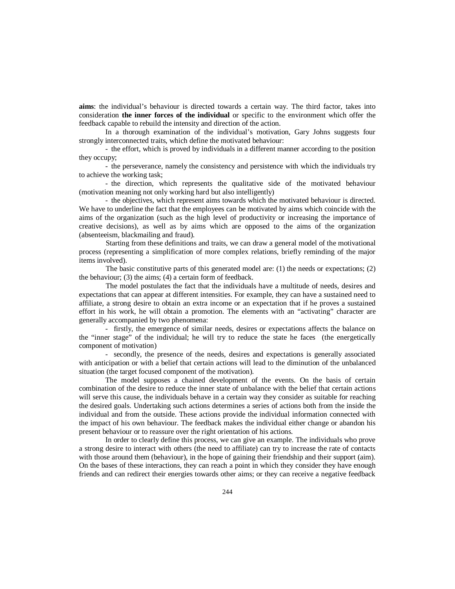**aims**: the individual's behaviour is directed towards a certain way. The third factor, takes into consideration **the inner forces of the individual** or specific to the environment which offer the feedback capable to rebuild the intensity and direction of the action.

In a thorough examination of the individual's motivation, Gary Johns suggests four strongly interconnected traits, which define the motivated behaviour:

- the effort, which is proved by individuals in a different manner according to the position they occupy;

- the perseverance, namely the consistency and persistence with which the individuals try to achieve the working task;

- the direction, which represents the qualitative side of the motivated behaviour (motivation meaning not only working hard but also intelligently)

- the objectives, which represent aims towards which the motivated behaviour is directed. We have to underline the fact that the employees can be motivated by aims which coincide with the aims of the organization (such as the high level of productivity or increasing the importance of creative decisions), as well as by aims which are opposed to the aims of the organization (absenteeism, blackmailing and fraud).

Starting from these definitions and traits, we can draw a general model of the motivational process (representing a simplification of more complex relations, briefly reminding of the major items involved).

The basic constitutive parts of this generated model are: (1) the needs or expectations; (2) the behaviour; (3) the aims; (4) a certain form of feedback.

The model postulates the fact that the individuals have a multitude of needs, desires and expectations that can appear at different intensities. For example, they can have a sustained need to affiliate, a strong desire to obtain an extra income or an expectation that if he proves a sustained effort in his work, he will obtain a promotion. The elements with an "activating" character are generally accompanied by two phenomena:

- firstly, the emergence of similar needs, desires or expectations affects the balance on the "inner stage" of the individual; he will try to reduce the state he faces (the energetically component of motivation)

- secondly, the presence of the needs, desires and expectations is generally associated with anticipation or with a belief that certain actions will lead to the diminution of the unbalanced situation (the target focused component of the motivation).

The model supposes a chained development of the events. On the basis of certain combination of the desire to reduce the inner state of unbalance with the belief that certain actions will serve this cause, the individuals behave in a certain way they consider as suitable for reaching the desired goals. Undertaking such actions determines a series of actions both from the inside the individual and from the outside. These actions provide the individual information connected with the impact of his own behaviour. The feedback makes the individual either change or abandon his present behaviour or to reassure over the right orientation of his actions.

In order to clearly define this process, we can give an example. The individuals who prove a strong desire to interact with others (the need to affiliate) can try to increase the rate of contacts with those around them (behaviour), in the hope of gaining their friendship and their support (aim). On the bases of these interactions, they can reach a point in which they consider they have enough friends and can redirect their energies towards other aims; or they can receive a negative feedback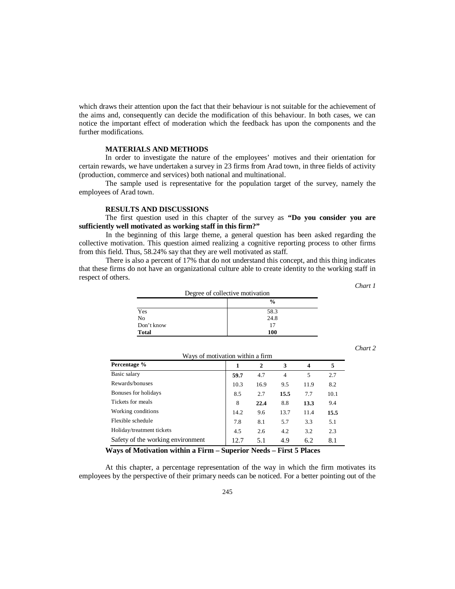which draws their attention upon the fact that their behaviour is not suitable for the achievement of the aims and, consequently can decide the modification of this behaviour. In both cases, we can notice the important effect of moderation which the feedback has upon the components and the further modifications.

### **MATERIALS AND METHODS**

In order to investigate the nature of the employees' motives and their orientation for certain rewards, we have undertaken a survey in 23 firms from Arad town, in three fields of activity (production, commerce and services) both national and multinational.

The sample used is representative for the population target of the survey, namely the employees of Arad town.

### **RESULTS AND DISCUSSIONS**

The first question used in this chapter of the survey as **"Do you consider you are sufficiently well motivated as working staff in this firm?"**

In the beginning of this large theme, a general question has been asked regarding the collective motivation. This question aimed realizing a cognitive reporting process to other firms from this field. Thus, 58.24% say that they are well motivated as staff.

There is also a percent of 17% that do not understand this concept, and this thing indicates that these firms do not have an organizational culture able to create identity to the working staff in respect of others.

| Degree of collective motivation |               |  |
|---------------------------------|---------------|--|
|                                 | $\frac{0}{0}$ |  |
| Yes                             | 58.3          |  |
| No                              | 24.8          |  |
| Don't know                      | 17            |  |
| <b>Total</b>                    | 100           |  |

*Chart 2* 

*Chart 1* 

| Ways of motivation within a firm  |      |              |                |      |      |
|-----------------------------------|------|--------------|----------------|------|------|
| Percentage %                      | 1    | $\mathbf{2}$ | 3              | 4    | 5    |
| Basic salary                      | 59.7 | 4.7          | $\overline{4}$ | 5    | 2.7  |
| Rewards/bonuses                   | 10.3 | 16.9         | 9.5            | 11.9 | 8.2  |
| Bonuses for holidays              | 8.5  | 2.7          | 15.5           | 7.7  | 10.1 |
| Tickets for meals                 | 8    | 22.4         | 8.8            | 13.3 | 9.4  |
| Working conditions                | 14.2 | 9.6          | 13.7           | 11.4 | 15.5 |
| Flexible schedule                 | 7.8  | 8.1          | 5.7            | 3.3  | 5.1  |
| Holiday/treatment tickets         | 4.5  | 2.6          | 4.2            | 3.2  | 2.3  |
| Safety of the working environment | 12.7 | 5.1          | 4.9            | 6.2  | 8.1  |

**Ways of Motivation within a Firm – Superior Needs – First 5 Places**

At this chapter, a percentage representation of the way in which the firm motivates its employees by the perspective of their primary needs can be noticed. For a better pointing out of the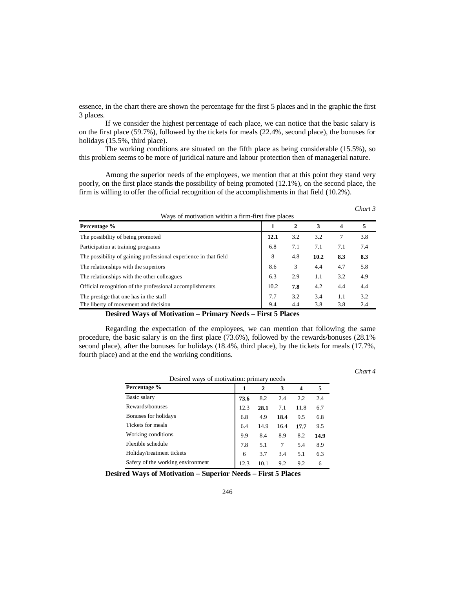essence, in the chart there are shown the percentage for the first 5 places and in the graphic the first 3 places.

If we consider the highest percentage of each place, we can notice that the basic salary is on the first place (59.7%), followed by the tickets for meals (22.4%, second place), the bonuses for holidays (15.5%, third place).

The working conditions are situated on the fifth place as being considerable (15.5%), so this problem seems to be more of juridical nature and labour protection then of managerial nature.

Among the superior needs of the employees, we mention that at this point they stand very poorly, on the first place stands the possibility of being promoted (12.1%), on the second place, the firm is willing to offer the official recognition of the accomplishments in that field (10.2%).

| Ways of motivation within a firm-first five places               |      |              |      |     |     |
|------------------------------------------------------------------|------|--------------|------|-----|-----|
| Percentage %                                                     |      | $\mathbf{2}$ | 3    | 4   | 5   |
| The possibility of being promoted                                | 12.1 | 3.2          | 3.2  | 7   | 3.8 |
| Participation at training programs                               | 6.8  | 7.1          | 7.1  | 7.1 | 7.4 |
| The possibility of gaining professional experience in that field | 8    | 4.8          | 10.2 | 8.3 | 8.3 |
| The relationships with the superiors                             | 8.6  | 3            | 4.4  | 4.7 | 5.8 |
| The relationships with the other colleagues                      | 6.3  | 2.9          | 1.1  | 3.2 | 4.9 |
| Official recognition of the professional accomplishments         | 10.2 | 7.8          | 4.2  | 4.4 | 4.4 |
| The prestige that one has in the staff                           | 7.7  | 3.2          | 3.4  | 1.1 | 3.2 |
| The liberty of movement and decision                             | 9.4  | 4.4          | 3.8  | 3.8 | 2.4 |

**Desired Ways of Motivation – Primary Needs – First 5 Places**

Regarding the expectation of the employees, we can mention that following the same procedure, the basic salary is on the first place (73.6%), followed by the rewards/bonuses (28.1% second place), after the bonuses for holidays (18.4%, third place), by the tickets for meals (17.7%, fourth place) and at the end the working conditions.

*Chart 4*

*Chart 3*

| Desired ways of motivation: primary needs |      |      |      |      |      |
|-------------------------------------------|------|------|------|------|------|
| Percentage %                              | 1    | 2    | 3    | 4    | 5    |
| Basic salary                              | 73.6 | 8.2  | 2.4  | 2.2  | 2.4  |
| Rewards/bonuses                           | 12.3 | 28.1 | 7.1  | 11.8 | 6.7  |
| Bonuses for holidays                      | 6.8  | 4.9  | 18.4 | 9.5  | 6.8  |
| Tickets for meals                         | 6.4  | 14.9 | 16.4 | 17.7 | 9.5  |
| Working conditions                        | 9.9  | 8.4  | 8.9  | 8.2  | 14.9 |
| Flexible schedule                         | 7.8  | 5.1  | 7    | 5.4  | 8.9  |
| Holiday/treatment tickets                 | 6    | 3.7  | 3.4  | 5.1  | 6.3  |
| Safety of the working environment         | 12.3 | 10.1 | 9.2  | 9.2  | 6    |

**Desired Ways of Motivation – Superior Needs – First 5 Places**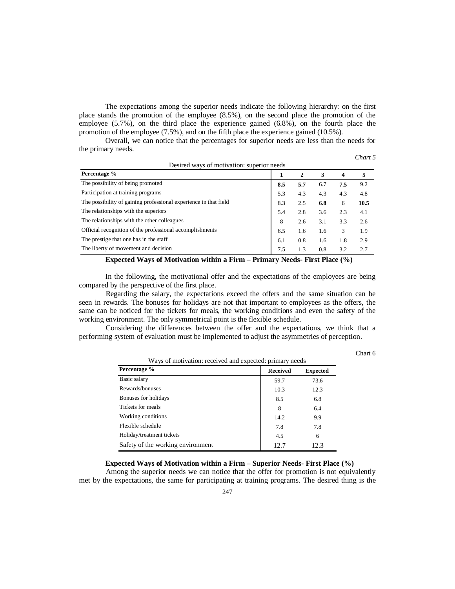The expectations among the superior needs indicate the following hierarchy: on the first place stands the promotion of the employee (8.5%), on the second place the promotion of the employee (5.7%), on the third place the experience gained (6.8%), on the fourth place the promotion of the employee (7.5%), and on the fifth place the experience gained (10.5%).

Overall, we can notice that the percentages for superior needs are less than the needs for the primary needs. *Chart 5* 

| Desired ways of motivation: superior needs                       |     |     |     |     |      |
|------------------------------------------------------------------|-----|-----|-----|-----|------|
| Percentage %<br>$\mathbf{2}$<br>3<br>4<br>1                      |     |     |     |     | 5    |
| The possibility of being promoted                                | 8.5 | 5.7 | 6.7 | 7.5 | 9.2  |
| Participation at training programs                               | 5.3 | 4.3 | 4.3 | 4.3 | 4.8  |
| The possibility of gaining professional experience in that field | 8.3 | 2.5 | 6.8 | 6   | 10.5 |
| The relationships with the superiors                             | 5.4 | 2.8 | 3.6 | 2.3 | 4.1  |
| The relationships with the other colleagues                      | 8   | 2.6 | 3.1 | 3.3 | 2.6  |
| Official recognition of the professional accomplishments         | 6.5 | 1.6 | 1.6 | 3   | 1.9  |
| The prestige that one has in the staff                           | 6.1 | 0.8 | 1.6 | 1.8 | 2.9  |
| The liberty of movement and decision                             | 7.5 | 1.3 | 0.8 | 3.2 | 2.7  |

**Expected Ways of Motivation within a Firm – Primary Needs- First Place (%)** 

In the following, the motivational offer and the expectations of the employees are being compared by the perspective of the first place.

Regarding the salary, the expectations exceed the offers and the same situation can be seen in rewards. The bonuses for holidays are not that important to employees as the offers, the same can be noticed for the tickets for meals, the working conditions and even the safety of the working environment. The only symmetrical point is the flexible schedule.

Considering the differences between the offer and the expectations, we think that a performing system of evaluation must be implemented to adjust the asymmetries of perception.

| няг |  |
|-----|--|
|-----|--|

| Ways of motivation: received and expected: primary needs |                 |                 |  |
|----------------------------------------------------------|-----------------|-----------------|--|
| Percentage %                                             | <b>Received</b> | <b>Expected</b> |  |
| Basic salary                                             | 59.7            | 73.6            |  |
| Rewards/bonuses                                          | 10.3            | 12.3            |  |
| Bonuses for holidays                                     | 8.5             | 6.8             |  |
| Tickets for meals                                        | 8               | 6.4             |  |
| Working conditions                                       | 14.2            | 9.9             |  |
| Flexible schedule                                        | 7.8             | 7.8             |  |
| Holiday/treatment tickets                                | 4.5             | 6               |  |
| Safety of the working environment                        | 12.7            | 12.3            |  |

**Expected Ways of Motivation within a Firm – Superior Needs- First Place (%)** 

Among the superior needs we can notice that the offer for promotion is not equivalently met by the expectations, the same for participating at training programs. The desired thing is the